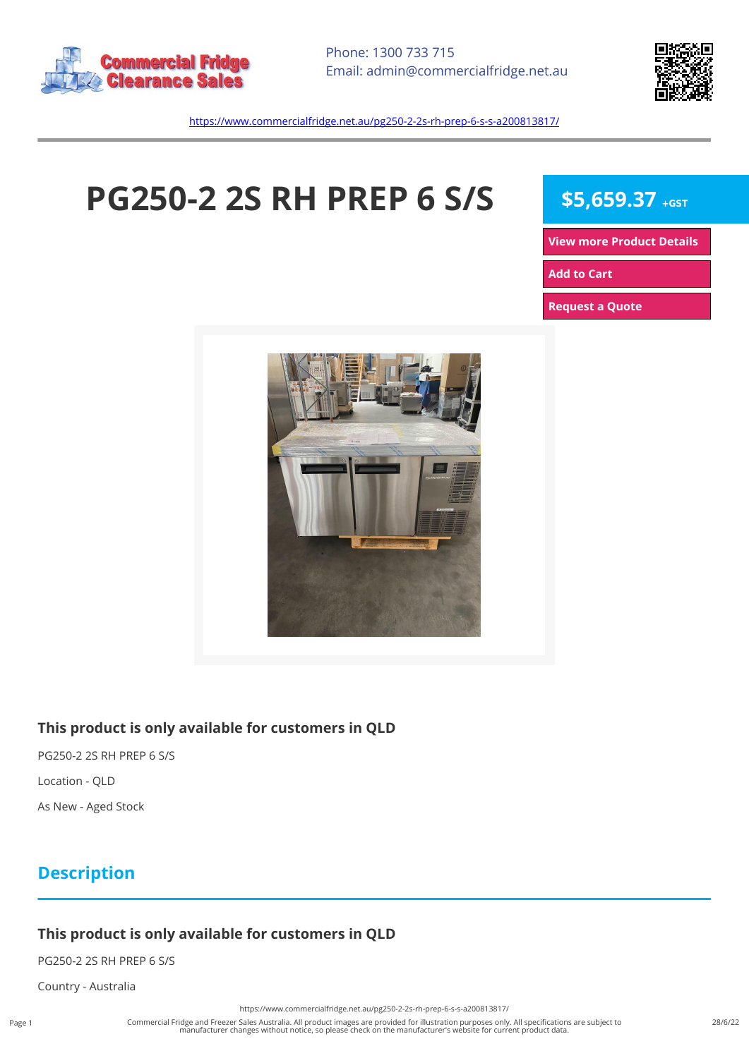



<https://www.commercialfridge.net.au/pg250-2-2s-rh-prep-6-s-s-a200813817/>

# **PG250-2 2S RH PREP 6 S/S** \$5,659.37 +GST

**[View more Product Details](https://www.commercialfridge.net.au/pg250-2-2s-rh-prep-6-s-s-a200813817/)**

**[Add to Cart](https://www.commercialfridge.net.au/pg250-2-2s-rh-prep-6-s-s-a200813817/?addtocart=1)** 

**[Request a Quote](https://www.commercialfridge.net.au/pg250-2-2s-rh-prep-6-s-s-a200813817/?requestaquote=1)** 



#### **This product is only available for customers in QLD**

PG250-2 2S RH PREP 6 S/S Location - QLD As New - Aged Stock

## **Description**

### **This product is only available for customers in QLD**

PG250-2 2S RH PREP 6 S/S

Country - Australia

<https://www.commercialfridge.net.au/pg250-2-2s-rh-prep-6-s-s-a200813817/>